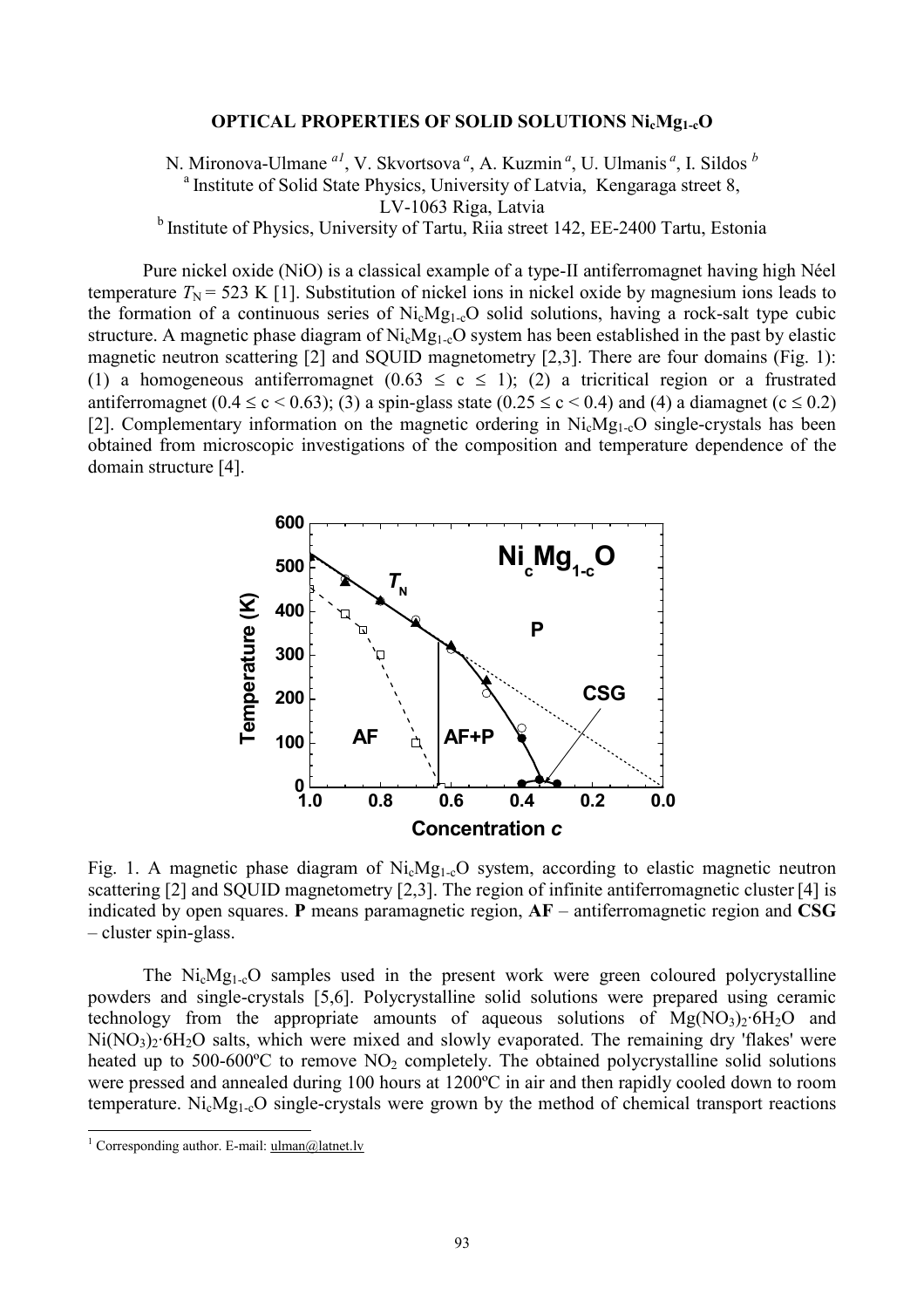## **OPTICAL PROPERTIES OF SOLID SOLUTIONS NicMg1-cO**

N. Mironova-Ulmane<sup>*al*</sup>, V. Skvortsova<sup>*a*</sup>, A. Kuzmin<sup>*a*</sup>, U. Ulmanis<sup>*a*</sup>, I. Sildos <sup>*b*</sup> <sup>a</sup> Institute of Solid State Physics, University of Latvia, Kengaraga street 8, LV-1063 Riga, Latvia <sup>b</sup> Institute of Physics, University of Tartu, Riia street 142, EE-2400 Tartu, Estonia

Pure nickel oxide (NiO) is a classical example of a type-II antiferromagnet having high Néel temperature  $T_N$  = 523 K [1]. Substitution of nickel ions in nickel oxide by magnesium ions leads to the formation of a continuous series of  $Ni_cMg_{1-c}O$  solid solutions, having a rock-salt type cubic structure. A magnetic phase diagram of Ni<sub>c</sub>Mg<sub>1-c</sub>O system has been established in the past by elastic magnetic neutron scattering [2] and SQUID magnetometry [2,3]. There are four domains (Fig. 1): (1) a homogeneous antiferromagnet  $(0.63 \le c \le 1)$ ; (2) a tricritical region or a frustrated antiferromagnet  $(0.4 \le c \le 0.63)$ ; (3) a spin-glass state  $(0.25 \le c \le 0.4)$  and (4) a diamagnet  $(c \le 0.2)$ [2]. Complementary information on the magnetic ordering in  $Ni<sub>c</sub>Mg<sub>1-c</sub>O$  single-crystals has been obtained from microscopic investigations of the composition and temperature dependence of the domain structure [4].



Fig. 1. A magnetic phase diagram of  $Ni_cMg_{1-c}O$  system, according to elastic magnetic neutron scattering [2] and SQUID magnetometry [2,3]. The region of infinite antiferromagnetic cluster [4] is indicated by open squares. **P** means paramagnetic region, **AF** – antiferromagnetic region and **CSG** – cluster spin-glass.

The NicMg1-cO samples used in the present work were green coloured polycrystalline powders and single-crystals [5,6]. Polycrystalline solid solutions were prepared using ceramic technology from the appropriate amounts of aqueous solutions of  $Mg(NO<sub>3</sub>)<sub>2</sub>·6H<sub>2</sub>O$  and  $Ni(NO<sub>3</sub>)<sub>2</sub>·6H<sub>2</sub>O$  salts, which were mixed and slowly evaporated. The remaining dry 'flakes' were heated up to 500-600 $^{\circ}$ C to remove NO<sub>2</sub> completely. The obtained polycrystalline solid solutions were pressed and annealed during 100 hours at 1200ºC in air and then rapidly cooled down to room temperature.  $Ni_cMg_{1-c}O$  single-crystals were grown by the method of chemical transport reactions

 $\overline{a}$ 

<sup>&</sup>lt;sup>1</sup> Corresponding author. E-mail:  $\frac{1}{\text{m}an(a)\text{lattet}}$ .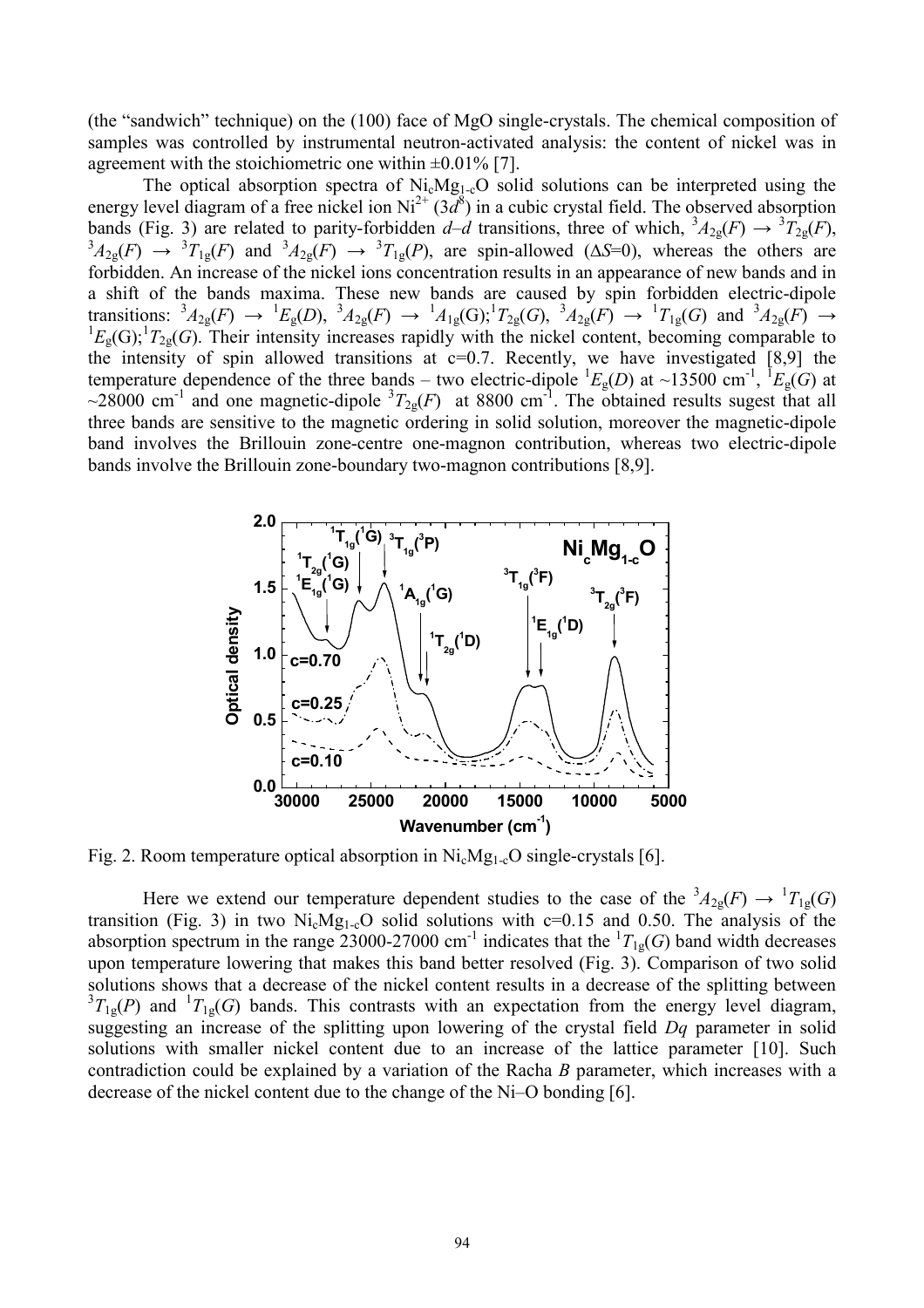(the "sandwich" technique) on the (100) face of MgO single-crystals. The chemical composition of samples was controlled by instrumental neutron-activated analysis: the content of nickel was in agreement with the stoichiometric one within  $\pm 0.01\%$  [7].

The optical absorption spectra of  $Ni_cMg_{1-c}O$  solid solutions can be interpreted using the energy level diagram of a free nickel ion  $Ni^{2+}$  ( $3d^8$ ) in a cubic crystal field. The observed absorption bands (Fig. 3) are related to parity-forbidden  $d-d$  transitions, three of which,  ${}^3A_{2g}(F) \rightarrow {}^3T_{2g}(F)$ ,<br> ${}^3A_{2g}(F) \rightarrow {}^3T_{1g}(F)$  and  ${}^3A_{2g}(F) \rightarrow {}^3T_{1g}(P)$ , are spin-allowed ( $\Delta S=0$ ), whereas the others are forbidden. An increase of the nickel ions concentration results in an appearance of new bands and in a shift of the bands maxima. These new bands are caused by spin forbidden electric-dipole transitions:  ${}^{3}A_{2g}(F) \rightarrow {}^{1}E_{g}(D)$ ,  ${}^{3}A_{2g}(F) \rightarrow {}^{1}A_{1g}(G); {}^{1}T_{2g}(G)$ ,  ${}^{3}A_{2g}(F) \rightarrow {}^{1}T_{1g}(G)$  and  ${}^{3}A_{2g}(F) \rightarrow {}^{1}E_{g}(G); {}^{1}T_{2g}(G)$ . Their intensity increases rapidly with the nickel content, becoming compa the intensity of spin allowed transitions at  $c=0.7$ . Recently, we have investigated [8,9] the temperature dependence of the three bands – two electric-dipole  ${}^{1}E_{g}(D)$  at ~13500 cm<sup>-1</sup>,  ${}^{1}E_{g}(G)$  at ~28000 cm<sup>-1</sup> and one magnetic-dipole  ${}^{3}T_{2g}(F)$  at 8800 cm<sup>-1</sup>. The obtained results sugest that all three bands are sensitive to the magnetic ordering in solid solution, moreover the magnetic-dipole band involves the Brillouin zone-centre one-magnon contribution, whereas two electric-dipole bands involve the Brillouin zone-boundary two-magnon contributions [8,9].



Fig. 2. Room temperature optical absorption in NicMg1-cO single-crystals [6].

Here we extend our temperature dependent studies to the case of the  ${}^{3}A_{2g}(F) \rightarrow {}^{1}T_{1g}(G)$ transition (Fig. 3) in two Ni<sub>c</sub>Mg<sub>1-c</sub>O solid solutions with  $c=0.15$  and 0.50. The analysis of the absorption spectrum in the range 23000-27000 cm<sup>-1</sup> indicates that the  ${}^{1}T_{1g}(G)$  band width decreases upon temperature lowering that makes this band better resolved (Fig. 3). Comparison of two solid solutions shows that a decrease of the nickel content results in a decrease of the splitting between  ${}^{3}T_{1g}(P)$  and  ${}^{1}T_{1g}(G)$  bands. This contrasts with an expectation from the energy level diagram, suggesting an increase of the splitting upon lowering of the crystal field *Dq* parameter in solid solutions with smaller nickel content due to an increase of the lattice parameter [10]. Such contradiction could be explained by a variation of the Racha *B* parameter, which increases with a decrease of the nickel content due to the change of the Ni–O bonding [6].